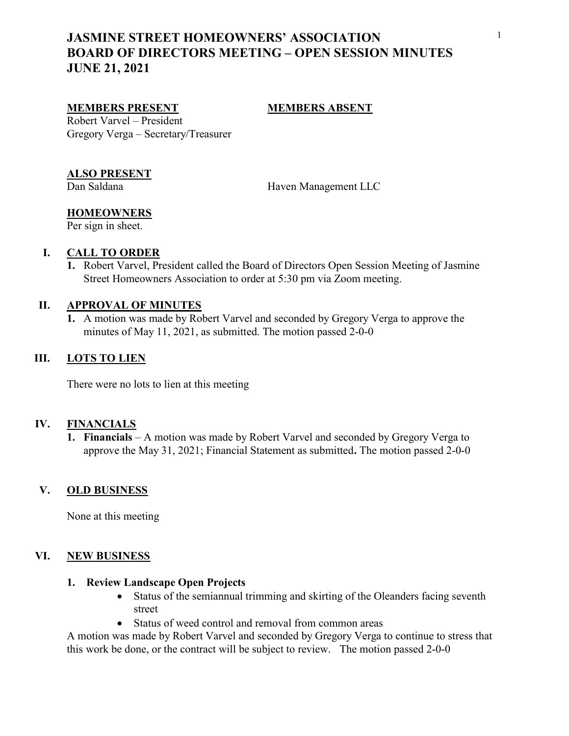# JASMINE STREET HOMEOWNERS' ASSOCIATION BOARD OF DIRECTORS MEETING – OPEN SESSION MINUTES JUNE 21, 2021

#### MEMBERS PRESENT MEMBERS ABSENT

Robert Varvel – President Gregory Verga – Secretary/Treasurer

### ALSO PRESENT

Dan Saldana Haven Management LLC

# **HOMEOWNERS**

Per sign in sheet.

### I. CALL TO ORDER

1. Robert Varvel, President called the Board of Directors Open Session Meeting of Jasmine Street Homeowners Association to order at 5:30 pm via Zoom meeting.

#### II. APPROVAL OF MINUTES

1. A motion was made by Robert Varvel and seconded by Gregory Verga to approve the minutes of May 11, 2021, as submitted. The motion passed 2-0-0

## III. LOTS TO LIEN

There were no lots to lien at this meeting

#### IV. FINANCIALS

1. Financials – A motion was made by Robert Varvel and seconded by Gregory Verga to approve the May 31, 2021; Financial Statement as submitted. The motion passed 2-0-0

#### V. OLD BUSINESS

None at this meeting

#### VI. NEW BUSINESS

### 1. Review Landscape Open Projects

- Status of the semiannual trimming and skirting of the Oleanders facing seventh street
- Status of weed control and removal from common areas

A motion was made by Robert Varvel and seconded by Gregory Verga to continue to stress that this work be done, or the contract will be subject to review. The motion passed 2-0-0